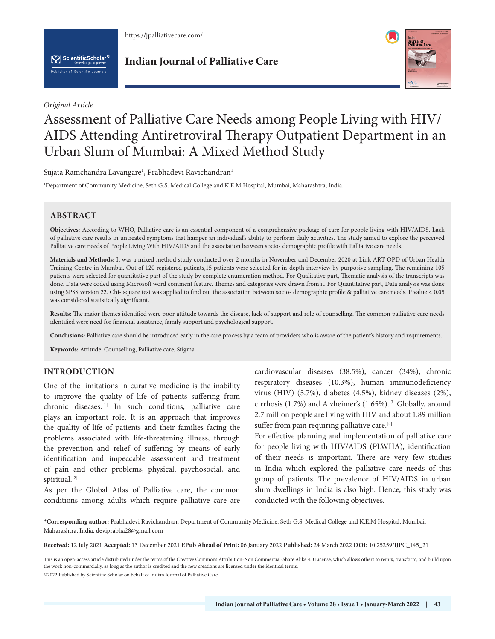

 $\left[\bigvee\right]$  ScientificScholar<sup>®</sup>

**Indian Journal of Palliative Care**



#### *Original Article*

# Assessment of Palliative Care Needs among People Living with HIV/ AIDS Attending Antiretroviral Therapy Outpatient Department in an Urban Slum of Mumbai: A Mixed Method Study

Sujata Ramchandra Lavangare<sup>1</sup>, Prabhadevi Ravichandran<sup>1</sup>

1 Department of Community Medicine, Seth G.S. Medical College and K.E.M Hospital, Mumbai, Maharashtra, India.

# **ABSTRACT**

**Objectives:** According to WHO, Palliative care is an essential component of a comprehensive package of care for people living with HIV/AIDS. Lack of palliative care results in untreated symptoms that hamper an individual's ability to perform daily activities. The study aimed to explore the perceived Palliative care needs of People Living With HIV/AIDS and the association between socio- demographic profile with Palliative care needs.

**Materials and Methods:** It was a mixed method study conducted over 2 months in November and December 2020 at Link ART OPD of Urban Health Training Centre in Mumbai. Out of 120 registered patients,15 patients were selected for in-depth interview by purposive sampling. The remaining 105 patients were selected for quantitative part of the study by complete enumeration method. For Qualitative part, Thematic analysis of the transcripts was done. Data were coded using Microsoft word comment feature. Themes and categories were drawn from it. For Quantitative part, Data analysis was done using SPSS version 22. Chi- square test was applied to find out the association between socio- demographic profile & palliative care needs. P value < 0.05 was considered statistically significant.

**Results:** The major themes identified were poor attitude towards the disease, lack of support and role of counselling. The common palliative care needs identified were need for financial assistance, family support and psychological support.

**Conclusions:** Palliative care should be introduced early in the care process by a team of providers who is aware of the patient's history and requirements.

**Keywords:** Attitude, Counselling, Palliative care, Stigma

## **INTRODUCTION**

One of the limitations in curative medicine is the inability to improve the quality of life of patients suffering from chronic diseases.[1] In such conditions, palliative care plays an important role. It is an approach that improves the quality of life of patients and their families facing the problems associated with life-threatening illness, through the prevention and relief of suffering by means of early identification and impeccable assessment and treatment of pain and other problems, physical, psychosocial, and spiritual.<sup>[2]</sup>

As per the Global Atlas of Palliative care, the common conditions among adults which require palliative care are

cardiovascular diseases (38.5%), cancer (34%), chronic respiratory diseases (10.3%), human immunodeficiency virus (HIV) (5.7%), diabetes (4.5%), kidney diseases (2%), cirrhosis (1.7%) and Alzheimer's (1.65%).<sup>[3]</sup> Globally, around 2.7 million people are living with HIV and about 1.89 million suffer from pain requiring palliative care.<sup>[4]</sup>

For effective planning and implementation of palliative care for people living with HIV/AIDS (PLWHA), identification of their needs is important. There are very few studies in India which explored the palliative care needs of this group of patients. The prevalence of HIV/AIDS in urban slum dwellings in India is also high. Hence, this study was conducted with the following objectives.

**\*Corresponding author:** Prabhadevi Ravichandran, Department of Community Medicine, Seth G.S. Medical College and K.E.M Hospital, Mumbai, Maharashtra, India. deviprabha28@gmail.com

**Received:** 12 July 2021 **Accepted:** 13 December 2021 **EPub Ahead of Print:** 06 January 2022 **Published:** 24 March 2022 **DOI:** 10.25259/IJPC\_145\_21

This is an open-access article distributed under the terms of the Creative Commons Attribution-Non Commercial-Share Alike 4.0 License, which allows others to remix, transform, and build upon the work non-commercially, as long as the author is credited and the new creations are licensed under the identical terms. ©2022 Published by Scientific Scholar on behalf of Indian Journal of Palliative Care

**Indian Journal of Palliative Care • Volume 28 • Issue 1 • January-March 2022 | 43**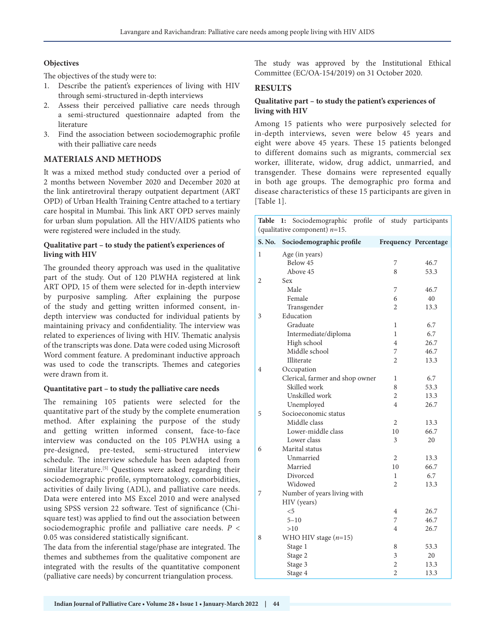#### **Objectives**

The objectives of the study were to:

- 1. Describe the patient's experiences of living with HIV through semi-structured in-depth interviews
- 2. Assess their perceived palliative care needs through a semi-structured questionnaire adapted from the literature
- 3. Find the association between sociodemographic profile with their palliative care needs

## **MATERIALS AND METHODS**

It was a mixed method study conducted over a period of 2 months between November 2020 and December 2020 at the link antiretroviral therapy outpatient department (ART OPD) of Urban Health Training Centre attached to a tertiary care hospital in Mumbai. This link ART OPD serves mainly for urban slum population. All the HIV/AIDS patients who were registered were included in the study.

#### **Qualitative part – to study the patient's experiences of living with HIV**

The grounded theory approach was used in the qualitative part of the study. Out of 120 PLWHA registered at link ART OPD, 15 of them were selected for in-depth interview by purposive sampling. After explaining the purpose of the study and getting written informed consent, indepth interview was conducted for individual patients by maintaining privacy and confidentiality. The interview was related to experiences of living with HIV. Thematic analysis of the transcripts was done. Data were coded using Microsoft Word comment feature. A predominant inductive approach was used to code the transcripts. Themes and categories were drawn from it.

## **Quantitative part – to study the palliative care needs**

The remaining 105 patients were selected for the quantitative part of the study by the complete enumeration method. After explaining the purpose of the study and getting written informed consent, face-to-face interview was conducted on the 105 PLWHA using a pre-designed, pre-tested, semi-structured interview schedule. The interview schedule has been adapted from similar literature.<sup>[5]</sup> Questions were asked regarding their sociodemographic profile, symptomatology, comorbidities, activities of daily living (ADL), and palliative care needs. Data were entered into MS Excel 2010 and were analysed using SPSS version 22 software. Test of significance (Chisquare test) was applied to find out the association between sociodemographic profile and palliative care needs. *P* < 0.05 was considered statistically significant.

The data from the inferential stage/phase are integrated. The themes and subthemes from the qualitative component are integrated with the results of the quantitative component (palliative care needs) by concurrent triangulation process.

The study was approved by the Institutional Ethical Committee (EC/OA-154/2019) on 31 October 2020.

#### **RESULTS**

#### **Qualitative part – to study the patient's experiences of living with HIV**

Among 15 patients who were purposively selected for in-depth interviews, seven were below 45 years and eight were above 45 years. These 15 patients belonged to different domains such as migrants, commercial sex worker, illiterate, widow, drug addict, unmarried, and transgender. These domains were represented equally in both age groups. The demographic pro forma and disease characteristics of these 15 participants are given in [Table 1].

| Table<br>1: Sociodemographic profile of study participants<br>(qualitative component) $n=15$ . |                                      |                |                             |
|------------------------------------------------------------------------------------------------|--------------------------------------|----------------|-----------------------------|
| S. No.                                                                                         | Sociodemographic profile             |                | <b>Frequency Percentage</b> |
| 1                                                                                              | Age (in years)                       |                |                             |
|                                                                                                | Below 45                             | 7              | 46.7                        |
|                                                                                                | Above 45                             | 8              | 53.3                        |
| 2                                                                                              | Sex                                  |                |                             |
|                                                                                                | Male                                 | 7              | 46.7                        |
|                                                                                                | Female                               | 6              | 40                          |
|                                                                                                | Transgender                          | $\overline{2}$ | 13.3                        |
| 3                                                                                              | Education                            |                |                             |
|                                                                                                | Graduate                             | 1              | 6.7                         |
|                                                                                                | Intermediate/diploma                 | 1              | 6.7                         |
|                                                                                                | High school                          | $\overline{4}$ | 26.7                        |
|                                                                                                | Middle school                        | 7              | 46.7                        |
|                                                                                                | Illiterate                           | $\overline{2}$ | 13.3                        |
| 4                                                                                              | Occupation                           |                |                             |
|                                                                                                | Clerical, farmer and shop owner      | 1              | 6.7                         |
|                                                                                                | Skilled work                         | 8              | 53.3                        |
|                                                                                                | Unskilled work                       | $\overline{2}$ | 13.3                        |
|                                                                                                | Unemployed                           | $\overline{4}$ | 26.7                        |
| 5                                                                                              | Socioeconomic status<br>Middle class |                |                             |
|                                                                                                | Lower-middle class                   | 2<br>10        | 13.3                        |
|                                                                                                | Lower class                          | 3              | 66.7<br>20                  |
| 6                                                                                              | Marital status                       |                |                             |
|                                                                                                | Unmarried                            | $\overline{2}$ | 13.3                        |
|                                                                                                | Married                              | 10             | 66.7                        |
|                                                                                                | Divorced                             | 1              | 6.7                         |
|                                                                                                | Widowed                              | $\overline{2}$ | 13.3                        |
| 7                                                                                              | Number of years living with          |                |                             |
|                                                                                                | HIV (years)                          |                |                             |
|                                                                                                | $<$ 5                                | $\overline{4}$ | 26.7                        |
|                                                                                                | $5 - 10$                             | 7              | 46.7                        |
|                                                                                                | >10                                  | $\overline{4}$ | 26.7                        |
| 8                                                                                              | WHO HIV stage $(n=15)$               |                |                             |
|                                                                                                | Stage 1                              | 8              | 53.3                        |
|                                                                                                | Stage 2                              | 3              | 20                          |
|                                                                                                | Stage 3                              | 2              | 13.3                        |
|                                                                                                | Stage 4                              | $\overline{c}$ | 13.3                        |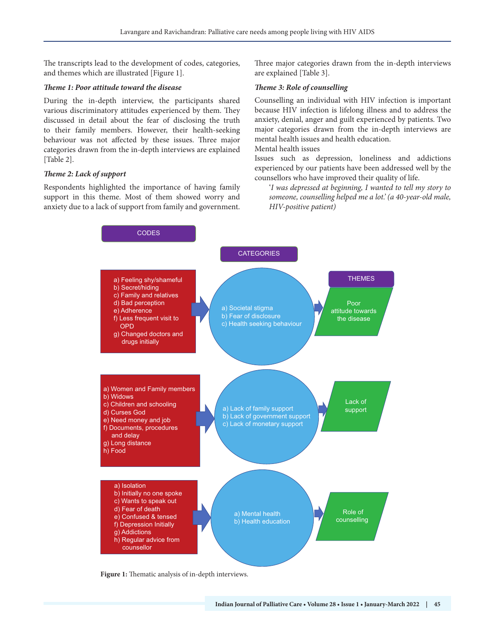The transcripts lead to the development of codes, categories, and themes which are illustrated [Figure 1].

#### *Theme 1: Poor attitude toward the disease*

During the in-depth interview, the participants shared various discriminatory attitudes experienced by them. They discussed in detail about the fear of disclosing the truth to their family members. However, their health-seeking behaviour was not affected by these issues. Three major categories drawn from the in-depth interviews are explained [Table 2].

## *Theme 2: Lack of support*

Respondents highlighted the importance of having family support in this theme. Most of them showed worry and anxiety due to a lack of support from family and government. Three major categories drawn from the in-depth interviews are explained [Table 3].

#### *Theme 3: Role of counselling*

Counselling an individual with HIV infection is important because HIV infection is lifelong illness and to address the anxiety, denial, anger and guilt experienced by patients. Two major categories drawn from the in-depth interviews are mental health issues and health education.

#### Mental health issues

Issues such as depression, loneliness and addictions experienced by our patients have been addressed well by the counsellors who have improved their quality of life.

'*I was depressed at beginning, I wanted to tell my story to someone, counselling helped me a lot.' (a 40-year-old male, HIV-positive patient)*



**Figure 1:** Thematic analysis of in-depth interviews.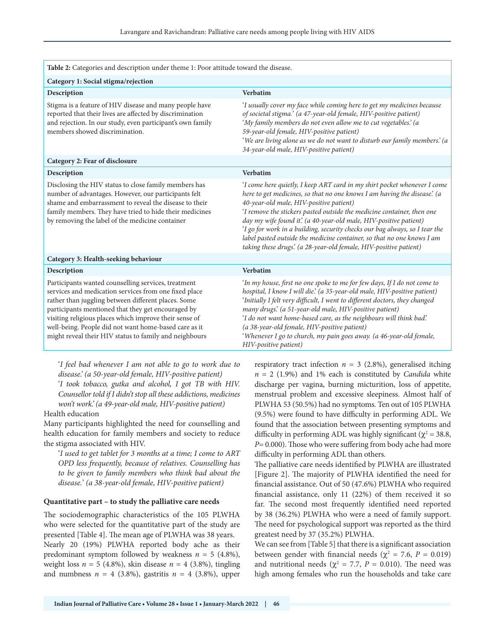| Table 2: Categories and description under theme 1: Poor attitude toward the disease.                                                                                                                                                                                                                                                                                                                   |                                                                                                                                                                                                                                                                                                                                                                                                                                                                                                                                                                            |  |
|--------------------------------------------------------------------------------------------------------------------------------------------------------------------------------------------------------------------------------------------------------------------------------------------------------------------------------------------------------------------------------------------------------|----------------------------------------------------------------------------------------------------------------------------------------------------------------------------------------------------------------------------------------------------------------------------------------------------------------------------------------------------------------------------------------------------------------------------------------------------------------------------------------------------------------------------------------------------------------------------|--|
| Category 1: Social stigma/rejection                                                                                                                                                                                                                                                                                                                                                                    |                                                                                                                                                                                                                                                                                                                                                                                                                                                                                                                                                                            |  |
| Description                                                                                                                                                                                                                                                                                                                                                                                            | <b>Verbatim</b>                                                                                                                                                                                                                                                                                                                                                                                                                                                                                                                                                            |  |
| Stigma is a feature of HIV disease and many people have<br>reported that their lives are affected by discrimination<br>and rejection. In our study, even participant's own family<br>members showed discrimination.                                                                                                                                                                                    | 'I usually cover my face while coming here to get my medicines because<br>of societal stigma.' (a 47-year-old female, HIV-positive patient)<br>'My family members do not even allow me to cut vegetables.' (a<br>59-year-old female, HIV-positive patient)<br>'We are living alone as we do not want to disturb our family members.' (a<br>34-year-old male, HIV-positive patient)                                                                                                                                                                                         |  |
| Category 2: Fear of disclosure                                                                                                                                                                                                                                                                                                                                                                         |                                                                                                                                                                                                                                                                                                                                                                                                                                                                                                                                                                            |  |
| Description                                                                                                                                                                                                                                                                                                                                                                                            | Verbatim                                                                                                                                                                                                                                                                                                                                                                                                                                                                                                                                                                   |  |
| Disclosing the HIV status to close family members has<br>number of advantages. However, our participants felt<br>shame and embarrassment to reveal the disease to their<br>family members. They have tried to hide their medicines<br>by removing the label of the medicine container                                                                                                                  | 'I come here quietly, I keep ART card in my shirt pocket whenever I come<br>here to get medicines, so that no one knows I am having the disease'. (a<br>40-year-old male, HIV-positive patient)<br>'I remove the stickers pasted outside the medicine container, then one<br>day my wife found it' (a 40-year-old male, HIV-positive patient)<br>'I go for work in a building, security checks our bag always, so I tear the<br>label pasted outside the medicine container, so that no one knows I am<br>taking these drugs' (a 28-year-old female, HIV-positive patient) |  |
| Category 3: Health-seeking behaviour                                                                                                                                                                                                                                                                                                                                                                   |                                                                                                                                                                                                                                                                                                                                                                                                                                                                                                                                                                            |  |
| Description                                                                                                                                                                                                                                                                                                                                                                                            | <b>Verbatim</b>                                                                                                                                                                                                                                                                                                                                                                                                                                                                                                                                                            |  |
| Participants wanted counselling services, treatment<br>services and medication services from one fixed place<br>rather than juggling between different places. Some<br>participants mentioned that they get encouraged by<br>visiting religious places which improve their sense of<br>well-being. People did not want home-based care as it<br>might reveal their HIV status to family and neighbours | 'In my house, first no one spoke to me for few days, If I do not come to<br>hospital, I know I will die' (a 35-year-old male, HIV-positive patient)<br>'Initially I felt very difficult, I went to different doctors, they changed<br>many drugs' (a 51-year-old male, HIV-positive patient)<br>'I do not want home-based care, as the neighbours will think bad'.<br>(a 38-year-old female, HIV-positive patient)<br>'Whenever I go to church, my pain goes away. (a 46-year-old female,<br>HIV-positive patient)                                                         |  |

'*I feel bad whenever I am not able to go to work due to disease.' (a 50-year-old female, HIV-positive patient)* '*I took tobacco, gutka and alcohol, I got TB with HIV. Counsellor told if I didn't stop all these addictions, medicines won't work.' (a 49-year-old male, HIV-positive patient)*

Health education

Many participants highlighted the need for counselling and health education for family members and society to reduce the stigma associated with HIV.

'*I used to get tablet for 3 months at a time; I come to ART OPD less frequently, because of relatives. Counselling has to be given to family members who think bad about the disease.*' *(a 38-year-old female, HIV-positive patient)*

#### **Quantitative part – to study the palliative care needs**

The sociodemographic characteristics of the 105 PLWHA who were selected for the quantitative part of the study are presented [Table 4]. The mean age of PLWHA was 38 years.

Nearly 20 (19%) PLWHA reported body ache as their predominant symptom followed by weakness  $n = 5$  (4.8%), weight loss  $n = 5$  (4.8%), skin disease  $n = 4$  (3.8%), tingling and numbness  $n = 4$  (3.8%), gastritis  $n = 4$  (3.8%), upper respiratory tract infection  $n = 3$  (2.8%), generalised itching  $n = 2$  (1.9%) and 1% each is constituted by *Candida* white discharge per vagina, burning micturition, loss of appetite, menstrual problem and excessive sleepiness. Almost half of PLWHA 53 (50.5%) had no symptoms. Ten out of 105 PLWHA (9.5%) were found to have difficulty in performing ADL. We found that the association between presenting symptoms and difficulty in performing ADL was highly significant ( $\chi^2$  = 38.8, *P*= 0.000). Those who were suffering from body ache had more difficulty in performing ADL than others.

The palliative care needs identified by PLWHA are illustrated [Figure 2]. The majority of PLWHA identified the need for financial assistance. Out of 50 (47.6%) PLWHA who required financial assistance, only 11 (22%) of them received it so far. The second most frequently identified need reported by 38 (36.2%) PLWHA who were a need of family support. The need for psychological support was reported as the third greatest need by 37 (35.2%) PLWHA.

We can see from [Table 5] that there is a significant association between gender with financial needs ( $\chi^2 = 7.6$ ,  $P = 0.019$ ) and nutritional needs ( $\chi^2 = 7.7$ ,  $P = 0.010$ ). The need was high among females who run the households and take care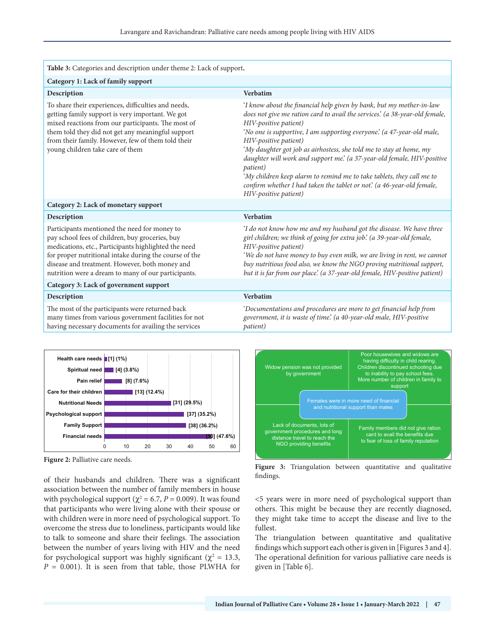| Table 3: Categories and description under theme 2: Lack of support.                                                                                                                                                                                                                                                        |                                                                                                                                                                                                                                                                                                                                                                                                                                                                                                                                                                                                                       |
|----------------------------------------------------------------------------------------------------------------------------------------------------------------------------------------------------------------------------------------------------------------------------------------------------------------------------|-----------------------------------------------------------------------------------------------------------------------------------------------------------------------------------------------------------------------------------------------------------------------------------------------------------------------------------------------------------------------------------------------------------------------------------------------------------------------------------------------------------------------------------------------------------------------------------------------------------------------|
| Category 1: Lack of family support                                                                                                                                                                                                                                                                                         |                                                                                                                                                                                                                                                                                                                                                                                                                                                                                                                                                                                                                       |
| Description                                                                                                                                                                                                                                                                                                                | <b>Verbatim</b>                                                                                                                                                                                                                                                                                                                                                                                                                                                                                                                                                                                                       |
| To share their experiences, difficulties and needs,<br>getting family support is very important. We got<br>mixed reactions from our participants. The most of<br>them told they did not get any meaningful support<br>from their family. However, few of them told their<br>young children take care of them               | 'I know about the financial help given by bank, but my mother-in-law<br>does not give me ration card to avail the services' (a 38-year-old female,<br>HIV-positive patient)<br>'No one is supportive, I am supporting everyone' (a 47-year-old male,<br>HIV-positive patient)<br>'My daughter got job as airhostess, she told me to stay at home, my<br>daughter will work and support me' (a 37-year-old female, HIV-positive<br>patient)<br>'My children keep alarm to remind me to take tablets, they call me to<br>confirm whether I had taken the tablet or not' (a 46-year-old female,<br>HIV-positive patient) |
| Category 2: Lack of monetary support                                                                                                                                                                                                                                                                                       |                                                                                                                                                                                                                                                                                                                                                                                                                                                                                                                                                                                                                       |
| Description                                                                                                                                                                                                                                                                                                                | <b>Verbatim</b>                                                                                                                                                                                                                                                                                                                                                                                                                                                                                                                                                                                                       |
| Participants mentioned the need for money to<br>pay school fees of children, buy groceries, buy<br>medications, etc., Participants highlighted the need<br>for proper nutritional intake during the course of the<br>disease and treatment. However, both money and<br>nutrition were a dream to many of our participants. | 'I do not know how me and my husband got the disease. We have three<br>girl children; we think of going for extra job' (a 39-year-old female,<br>HIV-positive patient)<br>'We do not have money to buy even milk, we are living in rent, we cannot<br>buy nutritious food also, we know the NGO proving nutritional support,<br>but it is far from our place'. (a 37-year-old female, HIV-positive patient)                                                                                                                                                                                                           |
| Category 3: Lack of government support                                                                                                                                                                                                                                                                                     |                                                                                                                                                                                                                                                                                                                                                                                                                                                                                                                                                                                                                       |
| Description                                                                                                                                                                                                                                                                                                                | <b>Verbatim</b>                                                                                                                                                                                                                                                                                                                                                                                                                                                                                                                                                                                                       |
| The most of the participants were returned back<br>many times from various government facilities for not<br>having necessary documents for availing the services                                                                                                                                                           | 'Documentations and procedures are more to get financial help from<br>government, it is waste of time' (a 40-year-old male, HIV-positive<br>patient)                                                                                                                                                                                                                                                                                                                                                                                                                                                                  |

having necessary documents for availing the services



**Figure 2:** Palliative care needs.

of their husbands and children. There was a significant association between the number of family members in house with psychological support ( $\chi^2$  = 6.7, *P* = 0.009). It was found that participants who were living alone with their spouse or with children were in more need of psychological support. To overcome the stress due to loneliness, participants would like to talk to someone and share their feelings. The association between the number of years living with HIV and the need for psychological support was highly significant ( $\chi^2 = 13.3$ ,  $P = 0.001$ ). It is seen from that table, those PLWHA for



**Figure 3:** Triangulation between quantitative and qualitative findings.

<5 years were in more need of psychological support than others. This might be because they are recently diagnosed, they might take time to accept the disease and live to the fullest.

The triangulation between quantitative and qualitative findings which support each other is given in [Figures 3 and 4]. The operational definition for various palliative care needs is given in [Table 6].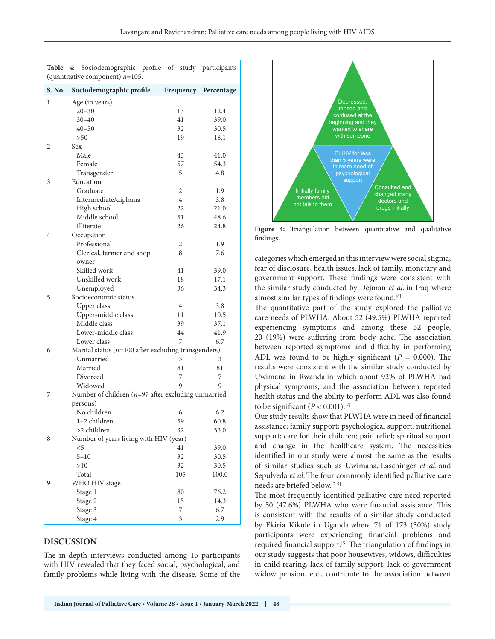| Table  | Sociodemographic profile of study participants<br>4:<br>(quantitative component) $n=105$ . |                |                      |
|--------|--------------------------------------------------------------------------------------------|----------------|----------------------|
| S. No. | Sociodemographic profile                                                                   |                | Frequency Percentage |
| 1      | Age (in years)                                                                             |                |                      |
|        | $20 - 30$                                                                                  | 13             | 12.4                 |
|        | $30 - 40$                                                                                  | 41             | 39.0                 |
|        | $40 - 50$                                                                                  | 32             | 30.5                 |
|        | >50                                                                                        | 19             | 18.1                 |
| 2      | Sex                                                                                        |                |                      |
|        | Male                                                                                       | 43             | 41.0                 |
|        | Female                                                                                     | 57             | 54.3                 |
|        | Transgender                                                                                | 5              | 4.8                  |
| 3      | Education                                                                                  |                |                      |
|        | Graduate                                                                                   | 2              | 1.9                  |
|        | Intermediate/diploma                                                                       | $\overline{4}$ | 3.8                  |
|        | High school                                                                                | 22             | 21.0                 |
|        | Middle school                                                                              | 51             | 48.6                 |
|        | Illiterate                                                                                 | 26             | 24.8                 |
| 4      | Occupation                                                                                 |                |                      |
|        | Professional                                                                               | 2              | 1.9                  |
|        | Clerical, farmer and shop                                                                  | 8              | 7.6                  |
|        | owner                                                                                      |                |                      |
|        | Skilled work                                                                               | 41             | 39.0                 |
|        | Unskilled work                                                                             | 18             | 17.1                 |
|        | Unemployed                                                                                 | 36             | 34.3                 |
| 5      | Socioeconomic status                                                                       |                |                      |
|        | Upper class                                                                                | $\overline{4}$ | 3.8                  |
|        | Upper-middle class                                                                         | 11             | 10.5                 |
|        | Middle class                                                                               | 39             | 37.1                 |
|        | Lower-middle class                                                                         | 44             | 41.9                 |
|        | Lower class                                                                                | 7              | 6.7                  |
| 6      | Marital status ( $n=100$ after excluding transgenders)                                     |                |                      |
|        | Unmarried                                                                                  | 3              | 3                    |
|        | Married                                                                                    | 81             | 81                   |
|        | Divorced                                                                                   | 7              | 7                    |
|        | Widowed                                                                                    | 9              | 9                    |
| 7      | Number of children ( $n=97$ after excluding unmarried                                      |                |                      |
|        | persons)                                                                                   |                |                      |
|        | No children                                                                                | 6              | 6.2                  |
|        | 1–2 children                                                                               | 59             | 60.8                 |
|        | >2 children                                                                                | 32             | 33.0                 |
| 8      | Number of years living with HIV (year)                                                     |                |                      |
|        | $<$ 5                                                                                      | 41             | 39.0                 |
|        | $5 - 10$                                                                                   | 32             | 30.5                 |
|        | >10                                                                                        | 32             | 30.5                 |
|        | Total                                                                                      | 105            | 100.0                |
| 9      | WHO HIV stage                                                                              |                |                      |
|        | Stage 1                                                                                    | 80             | 76.2                 |
|        | Stage 2                                                                                    | 15             | 14.3                 |
|        | Stage 3                                                                                    | 7              | 6.7                  |
|        | Stage 4                                                                                    | 3              | 2.9                  |

## **DISCUSSION**

The in-depth interviews conducted among 15 participants with HIV revealed that they faced social, psychological, and family problems while living with the disease. Some of the



**Figure 4:** Triangulation between quantitative and qualitative findings.

categories which emerged in this interview were social stigma, fear of disclosure, health issues, lack of family, monetary and government support. These findings were consistent with the similar study conducted by Dejman *et al*. in Iraq where almost similar types of findings were found.<sup>[6]</sup>

The quantitative part of the study explored the palliative care needs of PLWHA. About 52 (49.5%) PLWHA reported experiencing symptoms and among these 52 people, 20 (19%) were suffering from body ache. The association between reported symptoms and difficulty in performing ADL was found to be highly significant  $(P = 0.000)$ . The results were consistent with the similar study conducted by Uwimana in Rwanda in which about 92% of PLWHA had physical symptoms, and the association between reported health status and the ability to perform ADL was also found to be significant  $(P < 0.001)$ .<sup>[7]</sup>

Our study results show that PLWHA were in need of financial assistance; family support; psychological support; nutritional support; care for their children; pain relief; spiritual support and change in the healthcare system. The necessities identified in our study were almost the same as the results of similar studies such as Uwimana, Laschinger *et al*. and Sepulveda *et al*.The four commonly identified palliative care needs are briefed below.[7-9]

The most frequently identified palliative care need reported by 50 (47.6%) PLWHA who were financial assistance. This is consistent with the results of a similar study conducted by Ekiria Kikule in Uganda where 71 of 173 (30%) study participants were experiencing financial problems and required financial support.<sup>[5]</sup> The triangulation of findings in our study suggests that poor housewives, widows, difficulties in child rearing, lack of family support, lack of government widow pension, etc., contribute to the association between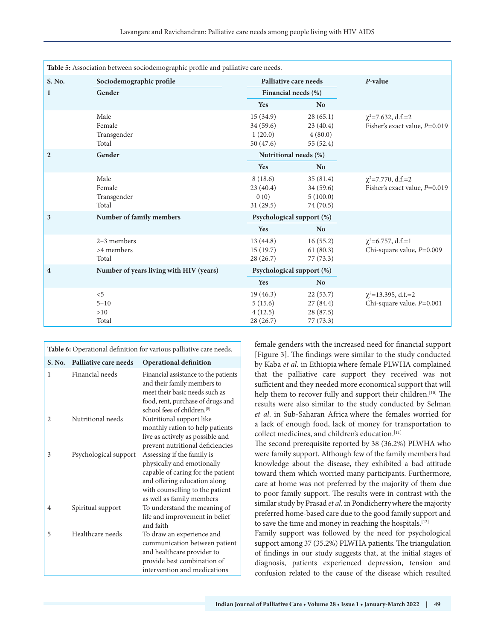| Table 5: Association between sociodemographic profile and palliative care needs. |                                         |                                              |                                                |                                                          |
|----------------------------------------------------------------------------------|-----------------------------------------|----------------------------------------------|------------------------------------------------|----------------------------------------------------------|
| S. No.                                                                           | Sociodemographic profile                | Palliative care needs                        |                                                | P-value                                                  |
| $\mathbf{1}$                                                                     | Gender                                  | Financial needs (%)                          |                                                |                                                          |
|                                                                                  |                                         | Yes                                          | N <sub>o</sub>                                 |                                                          |
|                                                                                  | Male<br>Female<br>Transgender<br>Total  | 15(34.9)<br>34 (59.6)<br>1(20.0)<br>50(47.6) | 28(65.1)<br>23(40.4)<br>4(80.0)<br>55 (52.4)   | $\chi^2$ =7.632, d.f.=2<br>Fisher's exact value, P=0.019 |
| $\overline{2}$                                                                   | Gender                                  | Nutritional needs (%)                        |                                                |                                                          |
|                                                                                  |                                         | Yes                                          | <b>No</b>                                      |                                                          |
|                                                                                  | Male<br>Female<br>Transgender<br>Total  | 8(18.6)<br>23(40.4)<br>0(0)<br>31(29.5)      | 35(81.4)<br>34(59.6)<br>5(100.0)<br>74 (70.5)  | $\chi^2$ =7.770, d.f.=2<br>Fisher's exact value, P=0.019 |
| 3                                                                                | Number of family members                | Psychological support (%)                    |                                                |                                                          |
|                                                                                  |                                         | Yes                                          | N <sub>o</sub>                                 |                                                          |
|                                                                                  | $2-3$ members<br>>4 members<br>Total    | 13(44.8)<br>15(19.7)<br>28(26.7)             | 16(55.2)<br>61(80.3)<br>77(73.3)               | $\chi^2$ =6.757, d.f.=1<br>Chi-square value, P=0.009     |
| $\overline{\mathbf{4}}$                                                          | Number of years living with HIV (years) | Psychological support (%)                    |                                                |                                                          |
|                                                                                  |                                         | Yes                                          | <b>No</b>                                      |                                                          |
|                                                                                  | < 5<br>$5 - 10$<br>>10<br>Total         | 19(46.3)<br>5(15.6)<br>4(12.5)<br>28(26.7)   | 22(53.7)<br>27(84.4)<br>28 (87.5)<br>77 (73.3) | $\chi^2$ =13.395, d.f.=2<br>Chi-square value, $P=0.001$  |

| Table 6: Operational definition for various palliative care needs. |                       |                                                                                                                                                                                               |
|--------------------------------------------------------------------|-----------------------|-----------------------------------------------------------------------------------------------------------------------------------------------------------------------------------------------|
| <b>S. No.</b>                                                      | Palliative care needs | <b>Operational definition</b>                                                                                                                                                                 |
| 1                                                                  | Financial needs       | Financial assistance to the patients<br>and their family members to<br>meet their basic needs such as<br>food, rent, purchase of drugs and<br>school fees of children. <sup>[5]</sup>         |
| 2                                                                  | Nutritional needs     | Nutritional support like<br>monthly ration to help patients<br>live as actively as possible and<br>prevent nutritional deficiencies                                                           |
| 3                                                                  | Psychological support | Assessing if the family is<br>physically and emotionally<br>capable of caring for the patient<br>and offering education along<br>with counselling to the patient<br>as well as family members |
| $\overline{4}$                                                     | Spiritual support     | To understand the meaning of<br>life and improvement in belief<br>and faith                                                                                                                   |
| 5                                                                  | Healthcare needs      | To draw an experience and<br>communication between patient<br>and healthcare provider to<br>provide best combination of<br>intervention and medications                                       |

female genders with the increased need for financial support [Figure 3]. The findings were similar to the study conducted by Kaba *et al*. in Ethiopiawhere female PLWHA complained that the palliative care support they received was not sufficient and they needed more economical support that will help them to recover fully and support their children.<sup>[10]</sup> The results were also similar to the study conducted by Selman *et al*. in Sub-Saharan Africa where the females worried for a lack of enough food, lack of money for transportation to collect medicines, and children's education.[11]

The second prerequisite reported by 38 (36.2%) PLWHA who were family support. Although few of the family members had knowledge about the disease, they exhibited a bad attitude toward them which worried many participants. Furthermore, care at home was not preferred by the majority of them due to poor family support. The results were in contrast with the similar study by Prasad *et al*. in Pondicherrywhere the majority preferred home-based care due to the good family support and to save the time and money in reaching the hospitals.<sup>[12]</sup>

Family support was followed by the need for psychological support among 37 (35.2%) PLWHA patients. The triangulation of findings in our study suggests that, at the initial stages of diagnosis, patients experienced depression, tension and confusion related to the cause of the disease which resulted